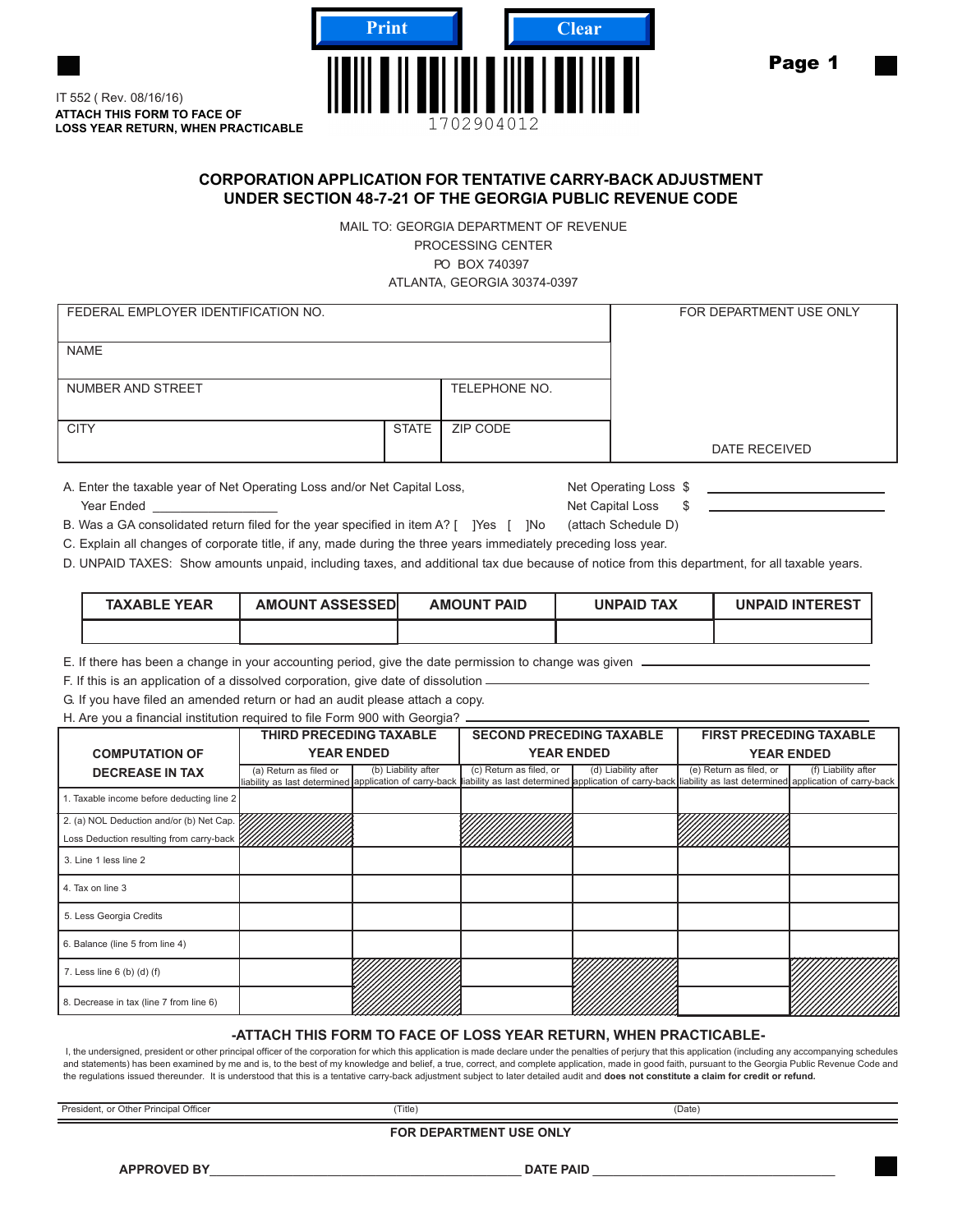

**ATTACH THIS FORM TO FACE OF LOSS YEAR RETURN, WHEN PRACTICABLE** IT 552 ( Rev. 08/16/16)

## **CORPORATION APPLICATION FOR TENTATIVE CARRY-BACK ADJUSTMENT UNDER SECTION 48-7-21 OF THE GEORGIA PUBLIC REVENUE CODE**

MAIL TO: GEORGIA DEPARTMENT OF REVENUE PROCESSING CENTER PO BOX 740397 ATLANTA, GEORGIA 30374-0397

| FEDERAL EMPLOYER IDENTIFICATION NO. | FOR DEPARTMENT USE ONLY |               |               |
|-------------------------------------|-------------------------|---------------|---------------|
| <b>NAME</b>                         |                         |               |               |
| NUMBER AND STREET                   |                         | TELEPHONE NO. |               |
| <b>CITY</b>                         | STATE                   | ZIP CODE      |               |
|                                     |                         |               | DATE RECEIVED |

A. Enter the taxable year of Net Operating Loss and/or Net Capital Loss, Net Operating Loss \$ external of the Marian Control of the Marian Control of the Marian Control of the Marian Control of the Marian Control of the Marian Control of the Marian Control of the Marian Control of the Marian Control of the Marian C

B. Was a GA consolidated return filed for the year specified in item A? [ ]Yes [ ]No (attach Schedule D)

C. Explain all changes of corporate title, if any, made during the three years immediately preceding loss year.

D. UNPAID TAXES: Show amounts unpaid, including taxes, and additional tax due because of notice from this department, for all taxable years.

| <b>TAXABLE YEAR</b> | <b>AMOUNT ASSESSEDI</b> | <b>AMOUNT PAID</b> | UNPAID TAX | <b>UNPAID INTEREST</b> |
|---------------------|-------------------------|--------------------|------------|------------------------|
|                     |                         |                    |            |                        |

E. If there has been a change in your accounting period, give the date permission to change was given

F. If this is an application of a dissolved corporation, give date of dissolution

G. If you have filed an amended return or had an audit please attach a copy.

H. Are you a financial institution required to file Form 900 with Georgia? .

|                                           | <b>THIRD PRECEDING TAXABLE</b> |                     | <b>SECOND PRECEDING TAXABLE</b>                                                                                                                                                                 |                     | <b>FIRST PRECEDING TAXABLE</b> |                     |
|-------------------------------------------|--------------------------------|---------------------|-------------------------------------------------------------------------------------------------------------------------------------------------------------------------------------------------|---------------------|--------------------------------|---------------------|
| <b>COMPUTATION OF</b>                     | <b>YEAR ENDED</b>              |                     | <b>YEAR ENDED</b>                                                                                                                                                                               |                     | <b>YEAR ENDED</b>              |                     |
| <b>DECREASE IN TAX</b>                    | (a) Return as filed or         | (b) Liability after | (c) Return as filed, or<br>liability as last determined application of carry-back liability as last determined application of carry-back liability as last determined application of carry-back | (d) Liability after | (e) Return as filed, or        | (f) Liability after |
| 1. Taxable income before deducting line 2 |                                |                     |                                                                                                                                                                                                 |                     |                                |                     |
| 2. (a) NOL Deduction and/or (b) Net Cap.  |                                |                     |                                                                                                                                                                                                 |                     |                                |                     |
| Loss Deduction resulting from carry-back  |                                |                     |                                                                                                                                                                                                 |                     |                                |                     |
| 3. Line 1 less line 2                     |                                |                     |                                                                                                                                                                                                 |                     |                                |                     |
| 4. Tax on line 3                          |                                |                     |                                                                                                                                                                                                 |                     |                                |                     |
| 5. Less Georgia Credits                   |                                |                     |                                                                                                                                                                                                 |                     |                                |                     |
| 6. Balance (line 5 from line 4)           |                                |                     |                                                                                                                                                                                                 |                     |                                |                     |
| 7. Less line $6$ (b) (d) (f)              |                                |                     |                                                                                                                                                                                                 |                     |                                |                     |
| 8. Decrease in tax (line 7 from line 6)   |                                |                     |                                                                                                                                                                                                 |                     |                                |                     |

## **-ATTACH THIS FORM TO FACE OF LOSS YEAR RETURN, WHEN PRACTICABLE-**

I, the undersigned, president or other principal officer of the corporation for which this application is made declare under the penalties of perjury that this application (including any accompanying schedules and statements) has been examined by me and is, to the best of my knowledge and belief, a true, correct, and complete application, made in good faith, pursuant to the Georgia Public Revenue Code and the regulations issued thereunder. It is understood that this is a tentative carry-back adjustment subject to later detailed audit and **does not constitute a claim for credit or refund.**

President, or Other Principal Officer (Date) (Date) (Date) (Date)

**FOR DEPARTMENT USE ONLY**